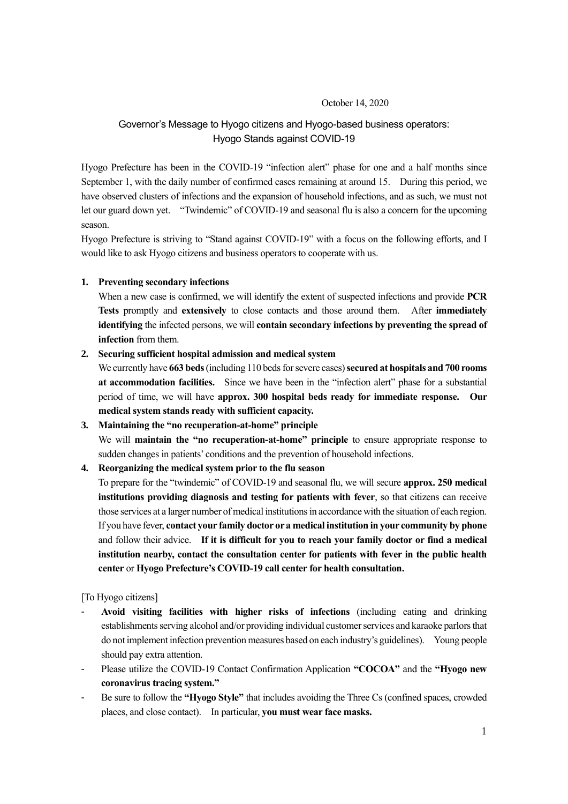## October 14, 2020

# Governor's Message to Hyogo citizens and Hyogo-based business operators: Hyogo Stands against COVID-19

Hyogo Prefecture has been in the COVID-19 "infection alert" phase for one and a half months since September 1, with the daily number of confirmed cases remaining at around 15. During this period, we have observed clusters of infections and the expansion of household infections, and as such, we must not let our guard down yet. "Twindemic" of COVID-19 and seasonal flu is also a concern for the upcoming season.

Hyogo Prefecture is striving to "Stand against COVID-19" with a focus on the following efforts, and I would like to ask Hyogo citizens and business operators to cooperate with us.

## **1. Preventing secondary infections**

When a new case is confirmed, we will identify the extent of suspected infections and provide **PCR Tests** promptly and **extensively** to close contacts and those around them. After **immediately identifying** the infected persons, we will **contain secondary infections by preventing the spread of infection** from them.

## **2. Securing sufficient hospital admission and medical system**

We currently have **663 beds** (including 110 beds for severe cases) **secured at hospitals and 700 rooms at accommodation facilities.** Since we have been in the "infection alert" phase for a substantial period of time, we will have **approx. 300 hospital beds ready for immediate response. Our medical system stands ready with sufficient capacity.**

#### **3. Maintaining the "no recuperation-at-home" principle**

We will **maintain the "no recuperation-at-home" principle** to ensure appropriate response to sudden changes in patients' conditions and the prevention of household infections.

## **4. Reorganizing the medical system prior to the flu season**

To prepare for the "twindemic" of COVID-19 and seasonal flu, we will secure **approx. 250 medical institutions providing diagnosis and testing for patients with fever**, so that citizens can receive those services at a larger number of medical institutions in accordance with the situation of each region. If you have fever, **contact your family doctor or a medical institution in your community by phone** and follow their advice. **If it is difficult for you to reach your family doctor or find a medical institution nearby, contact the consultation center for patients with fever in the public health center** or **Hyogo Prefecture's COVID-19 call center for health consultation.**

[To Hyogo citizens]

- **Avoid visiting facilities with higher risks of infections** (including eating and drinking establishments serving alcohol and/or providing individual customer services and karaoke parlors that do not implement infection prevention measures based on each industry's guidelines). Young people should pay extra attention.
- Please utilize the COVID-19 Contact Confirmation Application **"COCOA"** and the **"Hyogo new coronavirus tracing system."**
- Be sure to follow the **"Hyogo Style"** that includes avoiding the Three Cs (confined spaces, crowded places, and close contact). In particular, **you must wear face masks.**